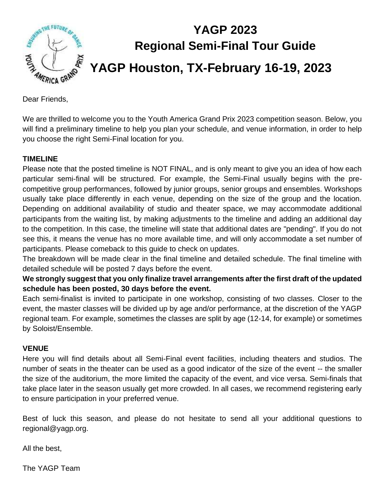

Dear Friends,

We are thrilled to welcome you to the Youth America Grand Prix 2023 competition season. Below, you will find a preliminary timeline to help you plan your schedule, and venue information, in order to help you choose the right Semi-Final location for you.

#### **TIMELINE**

Please note that the posted timeline is NOT FINAL, and is only meant to give you an idea of how each particular semi-final will be structured. For example, the Semi-Final usually begins with the precompetitive group performances, followed by junior groups, senior groups and ensembles. Workshops usually take place differently in each venue, depending on the size of the group and the location. Depending on additional availability of studio and theater space, we may accommodate additional participants from the waiting list, by making adjustments to the timeline and adding an additional day to the competition. In this case, the timeline will state that additional dates are "pending". If you do not see this, it means the venue has no more available time, and will only accommodate a set number of participants. Please comeback to this guide to check on updates.

The breakdown will be made clear in the final timeline and detailed schedule. The final timeline with detailed schedule will be posted 7 days before the event.

**We strongly suggest that you only finalize travel arrangements after the first draft of the updated schedule has been posted, 30 days before the event.** 

Each semi-finalist is invited to participate in one workshop, consisting of two classes. Closer to the event, the master classes will be divided up by age and/or performance, at the discretion of the YAGP regional team. For example, sometimes the classes are split by age (12-14, for example) or sometimes by Soloist/Ensemble.

#### **VENUE**

Here you will find details about all Semi-Final event facilities, including theaters and studios. The number of seats in the theater can be used as a good indicator of the size of the event -- the smaller the size of the auditorium, the more limited the capacity of the event, and vice versa. Semi-finals that take place later in the season usually get more crowded. In all cases, we recommend registering early to ensure participation in your preferred venue.

Best of luck this season, and please do not hesitate to send all your additional questions to regional@yagp.org.

All the best,

The YAGP Team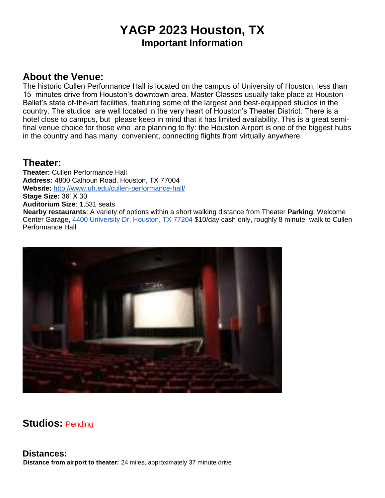# **YAGP 2023 Houston, TX Important Information**

### **About the Venue:**

The historic Cullen Performance Hall is located on the campus of University of Houston, less than 15 minutes drive from Houston's downtown area. Master Classes usually take place at Houston Ballet's state of-the-art facilities, featuring some of the largest and best-equipped studios in the country. The studios are well located in the very heart of Houston's Theater District. There is a hotel close to campus, but please keep in mind that it has limited availability. This is a great semifinal venue choice for those who are planning to fly: the Houston Airport is one of the biggest hubs in the country and has many convenient, connecting flights from virtually anywhere.

### **Theater:**

**Theater:** Cullen Performance Hall **Address:** 4800 Calhoun Road, Houston, TX 77004 **Website:** http://www.uh.edu/cullen-performance-hall/ **Stage Size:** 36' X 30' **Auditorium Size**: 1,531 seats **Nearby restaurants**: A variety of options within a short walking distance from Theater **Parking**: Welcome Center Garage, 4400 University Dr, Houston, TX 77204 \$10/day cash only, roughly 8 minute walk to Cullen Performance Hall



# **Studios:** Pending